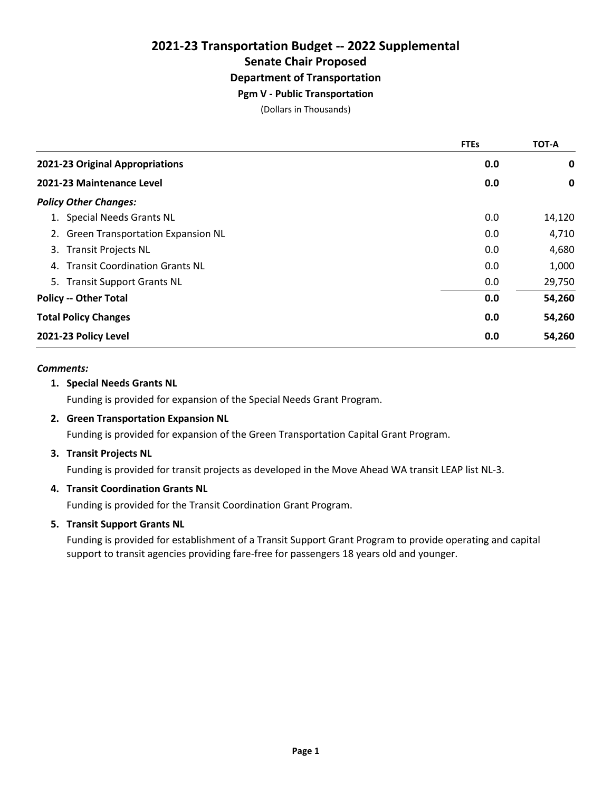# **2021-23 Transportation Budget -- 2022 Supplemental Senate Chair Proposed Department of Transportation**

### **Pgm V - Public Transportation**

(Dollars in Thousands)

|                                             | <b>FTEs</b> | <b>TOT-A</b> |
|---------------------------------------------|-------------|--------------|
| 2021-23 Original Appropriations             | 0.0         | 0            |
| 2021-23 Maintenance Level                   | 0.0         | 0            |
| <b>Policy Other Changes:</b>                |             |              |
| <b>Special Needs Grants NL</b>              | 0.0         | 14,120       |
| 2. Green Transportation Expansion NL        | 0.0         | 4,710        |
| 3. Transit Projects NL                      | 0.0         | 4,680        |
| <b>Transit Coordination Grants NL</b><br>4. | 0.0         | 1,000        |
| 5. Transit Support Grants NL                | 0.0         | 29,750       |
| <b>Policy -- Other Total</b>                | 0.0         | 54,260       |
| <b>Total Policy Changes</b>                 | 0.0         | 54,260       |
| 2021-23 Policy Level                        | 0.0         | 54,260       |

### *Comments:*

### **1. Special Needs Grants NL**

Funding is provided for expansion of the Special Needs Grant Program.

### **2. Green Transportation Expansion NL**

Funding is provided for expansion of the Green Transportation Capital Grant Program.

### **3. Transit Projects NL**

Funding is provided for transit projects as developed in the Move Ahead WA transit LEAP list NL-3.

### **4. Transit Coordination Grants NL**

Funding is provided for the Transit Coordination Grant Program.

### **5. Transit Support Grants NL**

Funding is provided for establishment of a Transit Support Grant Program to provide operating and capital support to transit agencies providing fare-free for passengers 18 years old and younger.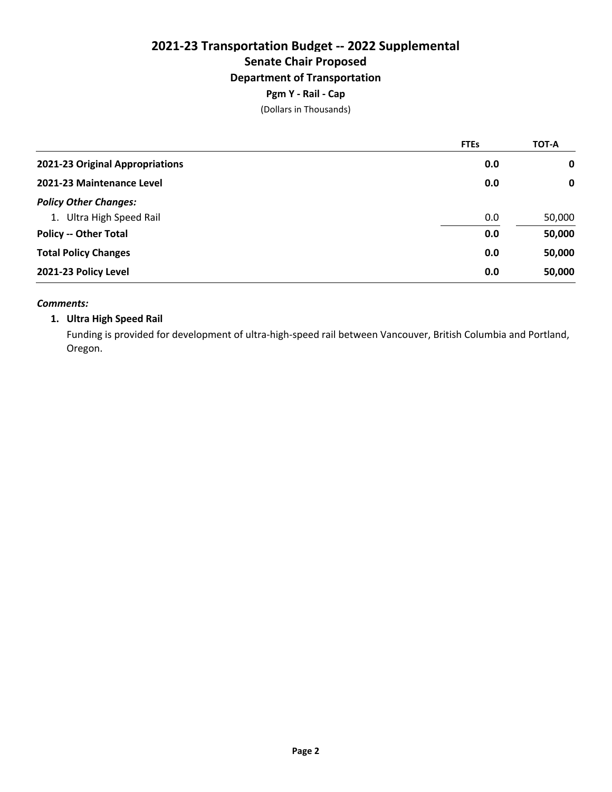# **2021-23 Transportation Budget -- 2022 Supplemental Senate Chair Proposed Department of Transportation**

### **Pgm Y - Rail - Cap**

(Dollars in Thousands)

|                                 | <b>FTEs</b> | <b>TOT-A</b> |
|---------------------------------|-------------|--------------|
| 2021-23 Original Appropriations | 0.0         | 0            |
| 2021-23 Maintenance Level       | 0.0         | 0            |
| <b>Policy Other Changes:</b>    |             |              |
| 1. Ultra High Speed Rail        | 0.0         | 50,000       |
| <b>Policy -- Other Total</b>    | 0.0         | 50,000       |
| <b>Total Policy Changes</b>     | 0.0         | 50,000       |
| 2021-23 Policy Level            | 0.0         | 50,000       |

### *Comments:*

### **1. Ultra High Speed Rail**

Funding is provided for development of ultra-high-speed rail between Vancouver, British Columbia and Portland, Oregon.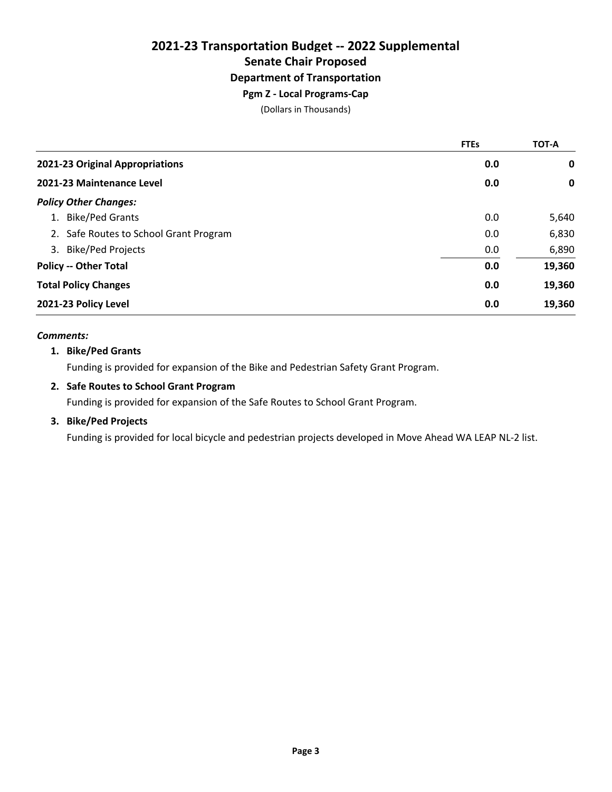# **2021-23 Transportation Budget -- 2022 Supplemental Senate Chair Proposed Department of Transportation**

## **Pgm Z - Local Programs-Cap**

(Dollars in Thousands)

|                                        | <b>FTEs</b> | <b>TOT-A</b> |
|----------------------------------------|-------------|--------------|
| 2021-23 Original Appropriations        | 0.0         | 0            |
| 2021-23 Maintenance Level              | 0.0         | 0            |
| <b>Policy Other Changes:</b>           |             |              |
| 1. Bike/Ped Grants                     | 0.0         | 5,640        |
| 2. Safe Routes to School Grant Program | 0.0         | 6,830        |
| 3. Bike/Ped Projects                   | 0.0         | 6,890        |
| <b>Policy -- Other Total</b>           | 0.0         | 19,360       |
| <b>Total Policy Changes</b>            | 0.0         | 19,360       |
| 2021-23 Policy Level                   | 0.0         | 19,360       |

### *Comments:*

### **1. Bike/Ped Grants**

Funding is provided for expansion of the Bike and Pedestrian Safety Grant Program.

### **2. Safe Routes to School Grant Program**

Funding is provided for expansion of the Safe Routes to School Grant Program.

### **3. Bike/Ped Projects**

Funding is provided for local bicycle and pedestrian projects developed in Move Ahead WA LEAP NL-2 list.